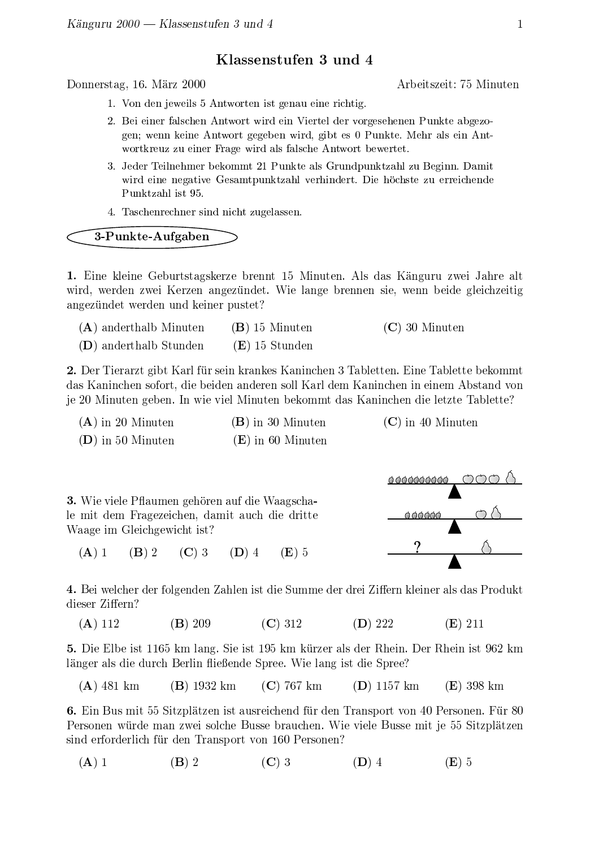Klassenstufen 3 und 4

Donnerstag, 16. März 2000

Arbeitszeit: 75 Minuten

- 1. Von den jeweils 5 Antworten ist genau eine richtig.
- 2. Bei einer falschen Antwort wird ein Viertel der vorgesehenen Punkte abgezogen; wenn keine Antwort gegeben wird, gibt es 0 Punkte. Mehr als ein Antwortkreuz zu einer Frage wird als falsche Antwort bewertet.
- 3. Jeder Teilnehmer bekommt 21 Punkte als Grundpunktzahl zu Beginn. Damit wird eine negative Gesamtpunktzahl verhindert. Die höchste zu erreichende Punktzahl ist 95.
- 4. Taschenrechner sind nicht zugelassen.

## 3-Punkte-Aufgaben

1. Eine kleine Geburtstagskerze brennt 15 Minuten. Als das Känguru zwei Jahre alt wird, werden zwei Kerzen angezündet. Wie lange brennen sie, wenn beide gleichzeitig angezündet werden und keiner pustet?

| $(A)$ and erthal b Minuten | $(B)$ 15 Minuten | $(C)$ 30 Minuten |
|----------------------------|------------------|------------------|
| (D) anderthalb Stunden     | $(E)$ 15 Stunden |                  |

2. Der Tierarzt gibt Karl für sein krankes Kaninchen 3 Tabletten. Eine Tablette bekommt das Kaninchen sofort, die beiden anderen soll Karl dem Kaninchen in einem Abstand von je 20 Minuten geben. In wie viel Minuten bekommt das Kaninchen die letzte Tablette?

| $(A)$ in 20 Minuten | $(B)$ in 30 Minuten | $(C)$ in 40 Minuten |
|---------------------|---------------------|---------------------|
| $(D)$ in 50 Minuten | $(E)$ in 60 Minuten |                     |

|  | <b>3.</b> Wie viele Pflaumen gehören auf die Waagscha- |  |  |  |
|--|--------------------------------------------------------|--|--|--|
|  | le mit dem Fragezeichen, damit auch die dritte         |  |  |  |
|  | Waage im Gleichgewicht ist?                            |  |  |  |



 $(A)$  1  $(B) 2$   $(C) 3$  $(D)$  4  $(E)$  5

4. Bei welcher der folgenden Zahlen ist die Summe der drei Ziffern kleiner als das Produkt dieser Ziffern?

 $(B) 209$  $(C) 312$  $(D)$  222  $(A)$  112  $(E)$  211

5. Die Elbe ist 1165 km lang. Sie ist 195 km kürzer als der Rhein. Der Rhein ist 962 km länger als die durch Berlin fließende Spree. Wie lang ist die Spree?

 $(A)$  481 km  $(B)$  1932 km  $(C)$  767 km  $(D)$  1157 km  $(E)$  398 km

6. Ein Bus mit 55 Sitzplätzen ist ausreichend für den Transport von 40 Personen. Für 80 Personen würde man zwei solche Busse brauchen. Wie viele Busse mit je 55 Sitzplätzen sind erforderlich für den Transport von 160 Personen?

 $(A)$  1  $(B)$  2  $(C)$  3  $(E)$  5  $(D)$  4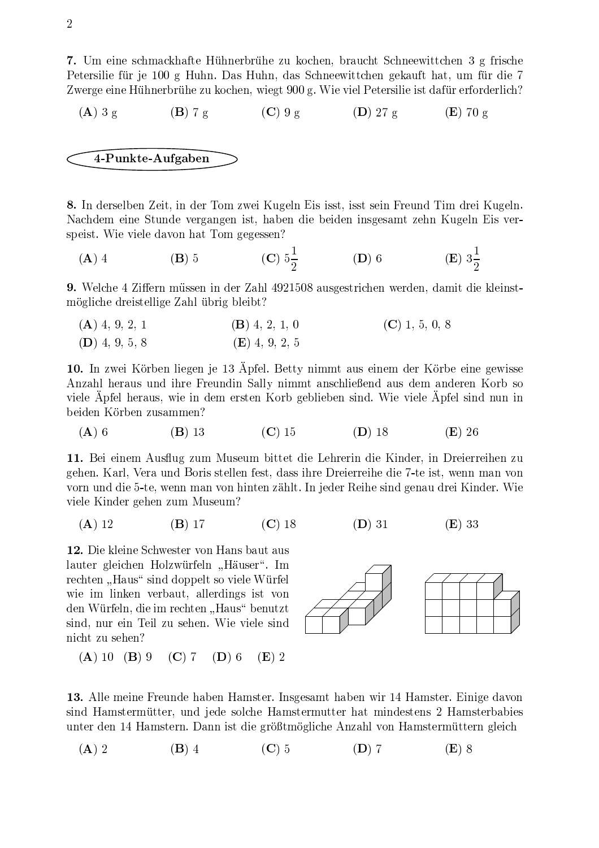7. Um eine schmackhafte Hühnerbrühe zu kochen, braucht Schneewittchen 3 g frische Petersilie für je 100 g Huhn. Das Huhn, das Schneewittchen gekauft hat, um für die 7 Zwerge eine Hühnerbrühe zu kochen, wiegt 900 g. Wie viel Petersilie ist dafür erforderlich?

$$
(A) 3 g \t\t (B) 7 g \t\t (C) 9 g \t\t (D) 27 g \t\t (E) 70 g
$$

4-Punkte-Aufgaben

8. In derselben Zeit, in der Tom zwei Kugeln Eis isst, isst sein Freund Tim drei Kugeln. Nachdem eine Stunde vergangen ist, haben die beiden insgesamt zehn Kugeln Eis verspeist. Wie viele davon hat Tom gegessen?

(**A**) 4 (**B**) 5 (**C**) 
$$
5\frac{1}{2}
$$
 (**D**) 6 (**E**)  $3\frac{1}{2}$ 

9. Welche 4 Ziffern müssen in der Zahl 4921508 ausgestrichen werden, damit die kleinstmögliche dreistellige Zahl übrig bleibt?

 $(B)$  4, 2, 1, 0  $(C)$  1, 5, 0, 8  $(A)$  4, 9, 2, 1  $(E)$  4, 9, 2, 5  $(D)$  4, 9, 5, 8

10. In zwei Körben liegen je 13 Apfel. Betty nimmt aus einem der Körbe eine gewisse Anzahl heraus und ihre Freundin Sally nimmt anschließend aus dem anderen Korb so viele Apfel heraus, wie in dem ersten Korb geblieben sind. Wie viele Apfel sind nun in beiden Körben zusammen?

 $(A)$  6  $(B)$  13  $(C)$  15  $(D)$  18  $(E)$  26

11. Bei einem Ausflug zum Museum bittet die Lehrerin die Kinder, in Dreierreihen zu gehen. Karl, Vera und Boris stellen fest, dass ihre Dreierreihe die 7-te ist, wenn man von vorn und die 5-te, wenn man von hinten zählt. In jeder Reihe sind genau drei Kinder. Wie viele Kinder gehen zum Museum?

$$
(A) 12 \t\t (B) 17 \t\t (C) 18 \t\t (D) 31 \t\t (E) 33
$$

12. Die kleine Schwester von Hans baut aus lauter gleichen Holzwürfeln "Häuser". Im rechten "Haus" sind doppelt so viele Würfel wie im linken verbaut, allerdings ist von den Würfeln, die im rechten "Haus" benutzt sind, nur ein Teil zu sehen. Wie viele sind nicht zu sehen?



13. Alle meine Freunde haben Hamster. Insgesamt haben wir 14 Hamster. Einige davon sind Hamstermütter, und jede solche Hamstermutter hat mindestens 2 Hamsterbabies unter den 14 Hamstern. Dann ist die größtmögliche Anzahl von Hamstermüttern gleich

 $(A)$  2  $(B)$  4  $(C)$  5  $(D)$  7  $(E)$  8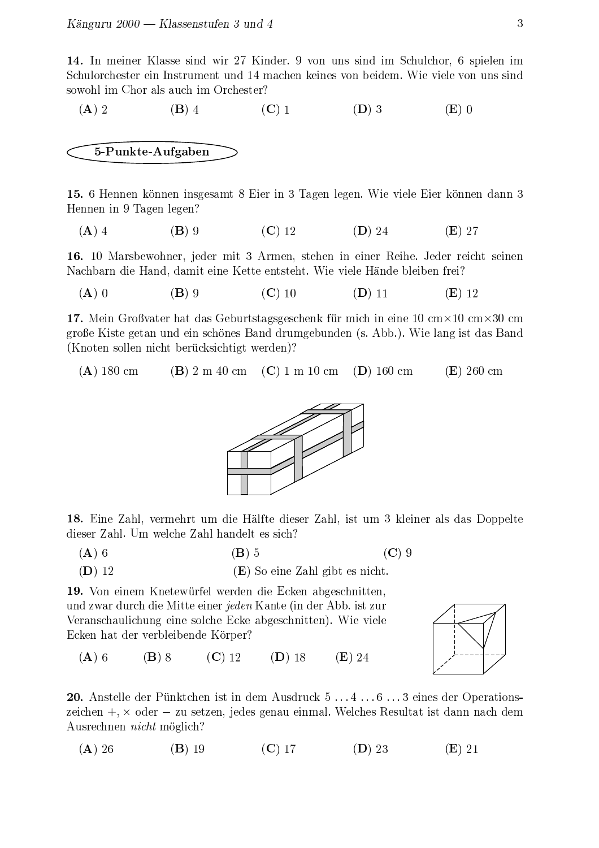14. In meiner Klasse sind wir 27 Kinder. 9 von uns sind im Schulchor, 6 spielen im Schulorchester ein Instrument und 14 machen keines von beidem. Wie viele von uns sind sowohl im Chor als auch im Orchester?

$$
(A) 2 \t\t\t (B) 4 \t\t\t (C) 1 \t\t\t (D) 3 \t\t\t (E) 0
$$

5-Punkte-Aufgaben

15. 6 Hennen können insgesamt 8 Eier in 3 Tagen legen. Wie viele Eier können dann 3 Hennen in 9 Tagen legen?

$$
(A) 4 \t\t (B) 9 \t\t (C) 12 \t\t (D) 24 \t\t (E) 27
$$

16. 10 Marsbewohner, jeder mit 3 Armen, stehen in einer Reihe. Jeder reicht seinen Nachbarn die Hand, damit eine Kette entsteht. Wie viele Hände bleiben frei?

 $(B)$  9  $(C)$  10  $(D)$  11  $(E)$  12  $(A)$  0

17. Mein Großvater hat das Geburtstagsgeschenk für mich in eine 10 cm $\times$ 10 cm $\times$ 30 cm große Kiste getan und ein schönes Band drumgebunden (s. Abb.). Wie lang ist das Band (Knoten sollen nicht berücksichtigt werden)?

 $(C)$  1 m 10 cm  $(A)$  180 cm  $(B)$  2 m 40 cm  $(D)$  160 cm  $(E)$  260 cm



18. Eine Zahl, vermehrt um die Hälfte dieser Zahl, ist um 3 kleiner als das Doppelte dieser Zahl. Um welche Zahl handelt es sich?

| $(A)$ 6  | $(B)$ 5                         | $(C)$ 9 |
|----------|---------------------------------|---------|
| $(D)$ 12 | (E) So eine Zahl gibt es nicht. |         |

19. Von einem Knetewürfel werden die Ecken abgeschnitten, und zwar durch die Mitte einer jeden Kante (in der Abb. ist zur Veranschaulichung eine solche Ecke abgeschnitten). Wie viele Ecken hat der verbleibende Körper?



 $(A)$  6  $(B)$  8  $(C)$  12  $(E)$  24  $(D)$  18

**20.** Anstelle der Pünktchen ist in dem Ausdruck 5...4...6...3 eines der Operationszeichen  $+$ ,  $\times$  oder – zu setzen, jedes genau einmal. Welches Resultat ist dann nach dem Ausrechnen *nicht* möglich?

 $(A)$  26  $(B)$  19  $(C)$  17  $(D)$  23  $(E)$  21